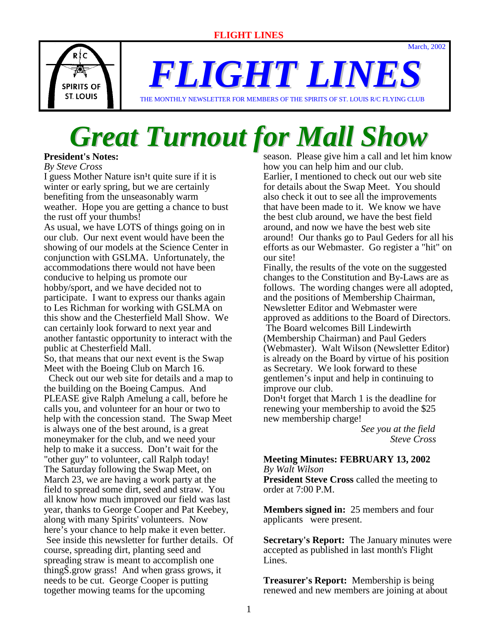March, 2002



*FLIGHT LINES*

THE MONTHLY NEWSLETTER FOR MEMBERS OF THE SPIRITS OF ST. LOUIS R/C FLYING CLUB

# *Great Turnout for Mall Show*

**President's Notes:**

*By Steve Cross*

I guess Mother Nature isn<sup>1</sup>t quite sure if it is winter or early spring, but we are certainly benefiting from the unseasonably warm weather. Hope you are getting a chance to bust the rust off your thumbs!

As usual, we have LOTS of things going on in our club. Our next event would have been the showing of our models at the Science Center in conjunction with GSLMA. Unfortunately, the accommodations there would not have been conducive to helping us promote our hobby/sport, and we have decided not to participate. I want to express our thanks again to Les Richman for working with GSLMA on this show and the Chesterfield Mall Show. We can certainly look forward to next year and another fantastic opportunity to interact with the public at Chesterfield Mall.

So, that means that our next event is the Swap Meet with the Boeing Club on March 16.

 Check out our web site for details and a map to the building on the Boeing Campus. And PLEASE give Ralph Amelung a call, before he calls you, and volunteer for an hour or two to help with the concession stand. The Swap Meet is always one of the best around, is a great moneymaker for the club, and we need your help to make it a success. Don't wait for the "other guy" to volunteer, call Ralph today! The Saturday following the Swap Meet, on March 23, we are having a work party at the field to spread some dirt, seed and straw. You all know how much improved our field was last year, thanks to George Cooper and Pat Keebey, along with many Spirits' volunteers. Now here's your chance to help make it even better. See inside this newsletter for further details. Of course, spreading dirt, planting seed and spreading straw is meant to accomplish one thingŠ.grow grass! And when grass grows, it needs to be cut. George Cooper is putting together mowing teams for the upcoming

season. Please give him a call and let him know how you can help him and our club. Earlier, I mentioned to check out our web site for details about the Swap Meet. You should also check it out to see all the improvements that have been made to it. We know we have the best club around, we have the best field around, and now we have the best web site around! Our thanks go to Paul Geders for all his efforts as our Webmaster. Go register a "hit" on our site!

Finally, the results of the vote on the suggested changes to the Constitution and By-Laws are as follows. The wording changes were all adopted, and the positions of Membership Chairman, Newsletter Editor and Webmaster were approved as additions to the Board of Directors. The Board welcomes Bill Lindewirth (Membership Chairman) and Paul Geders (Webmaster). Walt Wilson (Newsletter Editor) is already on the Board by virtue of his position as Secretary. We look forward to these gentlemen's input and help in continuing to improve our club.

Don<sup>1</sup>t forget that March 1 is the deadline for renewing your membership to avoid the \$25 new membership charge!

> *See you at the field Steve Cross*

#### **Meeting Minutes: FEBRUARY 13, 2002** *By Walt Wilson*

**President Steve Cross** called the meeting to order at 7:00 P.M.

**Members signed in:** 25 members and four applicants were present.

**Secretary's Report:** The January minutes were accepted as published in last month's Flight Lines.

**Treasurer's Report:** Membership is being renewed and new members are joining at about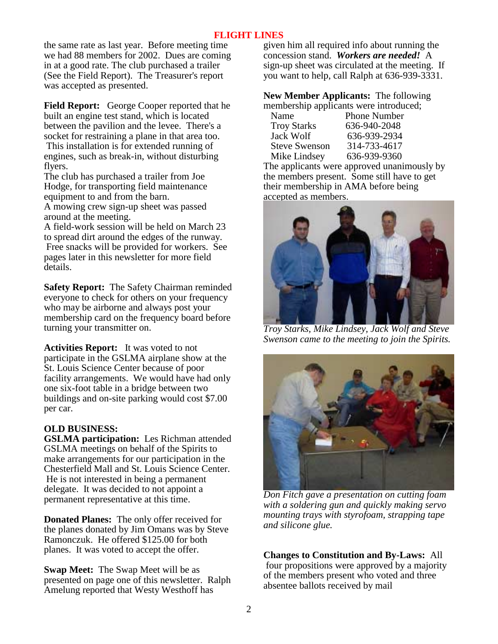the same rate as last year. Before meeting time we had 88 members for 2002. Dues are coming in at a good rate. The club purchased a trailer (See the Field Report). The Treasurer's report was accepted as presented.

**Field Report:** George Cooper reported that he built an engine test stand, which is located between the pavilion and the levee. There's a socket for restraining a plane in that area too. This installation is for extended running of engines, such as break-in, without disturbing flyers.

The club has purchased a trailer from Joe Hodge, for transporting field maintenance equipment to and from the barn.

A mowing crew sign-up sheet was passed around at the meeting.

A field-work session will be held on March 23 to spread dirt around the edges of the runway. Free snacks will be provided for workers. See pages later in this newsletter for more field details.

**Safety Report:** The Safety Chairman reminded everyone to check for others on your frequency who may be airborne and always post your membership card on the frequency board before turning your transmitter on.

**Activities Report:** It was voted to not participate in the GSLMA airplane show at the St. Louis Science Center because of poor facility arrangements. We would have had only one six-foot table in a bridge between two buildings and on-site parking would cost \$7.00 per car.

# **OLD BUSINESS:**

**GSLMA participation:** Les Richman attended GSLMA meetings on behalf of the Spirits to make arrangements for our participation in the Chesterfield Mall and St. Louis Science Center. He is not interested in being a permanent delegate. It was decided to not appoint a permanent representative at this time.

**Donated Planes:** The only offer received for the planes donated by Jim Omans was by Steve Ramonczuk. He offered \$125.00 for both planes. It was voted to accept the offer.

**Swap Meet:** The Swap Meet will be as presented on page one of this newsletter. Ralph Amelung reported that Westy Westhoff has

given him all required info about running the concession stand. *Workers are needed!* A sign-up sheet was circulated at the meeting. If you want to help, call Ralph at 636-939-3331.

**New Member Applicants:** The following membership applicants were introduced;

| Name                 | <b>Phone Number</b> |
|----------------------|---------------------|
| <b>Troy Starks</b>   | 636-940-2048        |
| Jack Wolf            | 636-939-2934        |
| <b>Steve Swenson</b> | 314-733-4617        |
| Mike Lindsey         | 636-939-9360        |
|                      |                     |

The applicants were approved unanimously by the members present. Some still have to get their membership in AMA before being accepted as members.



*Troy Starks, Mike Lindsey, Jack Wolf and Steve Swenson came to the meeting to join the Spirits.* 



*Don Fitch gave a presentation on cutting foam with a soldering gun and quickly making servo mounting trays with styrofoam, strapping tape and silicone glue.*

**Changes to Constitution and By-Laws:** All four propositions were approved by a majority of the members present who voted and three absentee ballots received by mail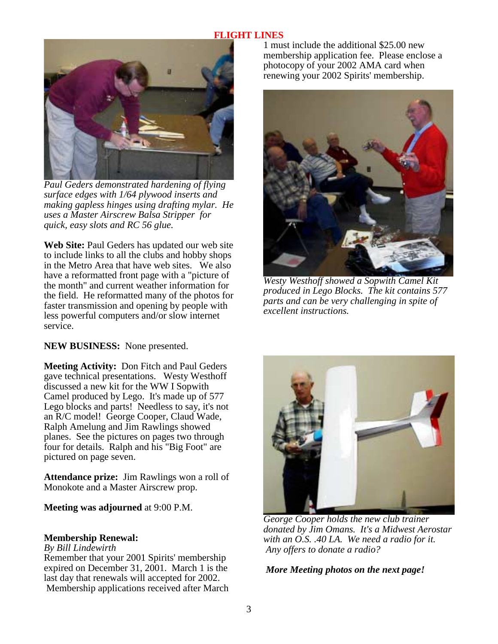

*Paul Geders demonstrated hardening of flying surface edges with 1/64 plywood inserts and making gapless hinges using drafting mylar. He uses a Master Airscrew Balsa Stripper for quick, easy slots and RC 56 glue.* 

**Web Site:** Paul Geders has updated our web site to include links to all the clubs and hobby shops in the Metro Area that have web sites. We also have a reformatted front page with a "picture of the month" and current weather information for the field. He reformatted many of the photos for faster transmission and opening by people with less powerful computers and/or slow internet service.

**NEW BUSINESS:** None presented.

**Meeting Activity:** Don Fitch and Paul Geders gave technical presentations. Westy Westhoff discussed a new kit for the WW I Sopwith Camel produced by Lego. It's made up of 577 Lego blocks and parts! Needless to say, it's not an R/C model! George Cooper, Claud Wade, Ralph Amelung and Jim Rawlings showed planes. See the pictures on pages two through four for details. Ralph and his "Big Foot" are pictured on page seven.

**Attendance prize:** Jim Rawlings won a roll of Monokote and a Master Airscrew prop.

**Meeting was adjourned** at 9:00 P.M.

#### **Membership Renewal:**

#### *By Bill Lindewirth*

Remember that your 2001 Spirits' membership expired on December 31, 2001. March 1 is the last day that renewals will accepted for 2002. Membership applications received after March 1 must include the additional \$25.00 new membership application fee. Please enclose a photocopy of your 2002 AMA card when renewing your 2002 Spirits' membership.



*Westy Westhoff showed a Sopwith Camel Kit produced in Lego Blocks. The kit contains 577 parts and can be very challenging in spite of excellent instructions.* 



*George Cooper holds the new club trainer donated by Jim Omans. It's a Midwest Aerostar with an O.S. .40 LA. We need a radio for it. Any offers to donate a radio?* 

# *More Meeting photos on the next page!*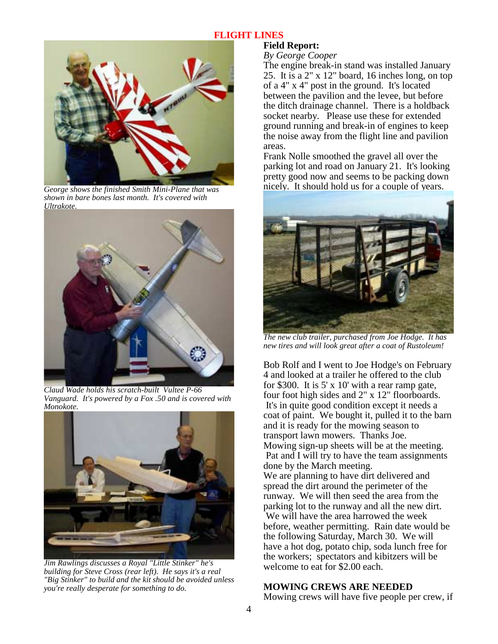

*George shows the finished Smith Mini-Plane that was shown in bare bones last month. It's covered with Ultrakote.*



 *Claud Wade holds his scratch-built Vultee P-66 Vanguard. It's powered by a Fox .50 and is covered with Monokote.* 



*Jim Rawlings discusses a Royal "Little Stinker" he's building for Steve Cross (rear left). He says it's a real "Big Stinker" to build and the kit should be avoided unless you're really desperate for something to do.* 

# **Field Report:**

*By George Cooper*

The engine break-in stand was installed January 25. It is a 2" x 12" board, 16 inches long, on top of a 4" x 4" post in the ground. It's located between the pavilion and the levee, but before the ditch drainage channel. There is a holdback socket nearby. Please use these for extended ground running and break-in of engines to keep the noise away from the flight line and pavilion areas.

Frank Nolle smoothed the gravel all over the parking lot and road on January 21. It's looking pretty good now and seems to be packing down nicely. It should hold us for a couple of years.



*The new club trailer, purchased from Joe Hodge. It has new tires and will look great after a coat of Rustoleum!*

Bob Rolf and I went to Joe Hodge's on February 4 and looked at a trailer he offered to the club for \$300. It is  $5' \times 10'$  with a rear ramp gate, four foot high sides and 2" x 12" floorboards. It's in quite good condition except it needs a coat of paint. We bought it, pulled it to the barn and it is ready for the mowing season to transport lawn mowers. Thanks Joe. Mowing sign-up sheets will be at the meeting. Pat and I will try to have the team assignments done by the March meeting. We are planning to have dirt delivered and spread the dirt around the perimeter of the runway. We will then seed the area from the parking lot to the runway and all the new dirt. We will have the area harrowed the week before, weather permitting. Rain date would be the following Saturday, March 30. We will have a hot dog, potato chip, soda lunch free for the workers; spectators and kibitzers will be welcome to eat for \$2.00 each.

#### **MOWING CREWS ARE NEEDED**

Mowing crews will have five people per crew, if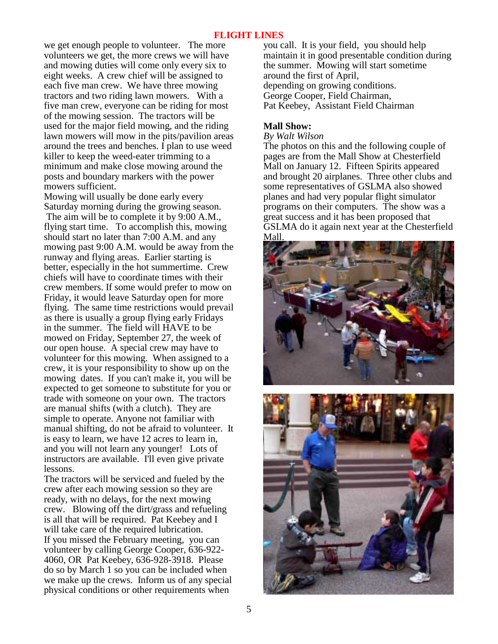we get enough people to volunteer. The more volunteers we get, the more crews we will have and mowing duties will come only every six to eight weeks. A crew chief will be assigned to each five man crew. We have three mowing tractors and two riding lawn mowers. With a five man crew, everyone can be riding for most of the mowing session. The tractors will be used for the major field mowing, and the riding lawn mowers will mow in the pits/pavilion areas around the trees and benches. I plan to use weed killer to keep the weed-eater trimming to a minimum and make close mowing around the posts and boundary markers with the power mowers sufficient.

Mowing will usually be done early every Saturday morning during the growing season. The aim will be to complete it by 9:00 A.M., flying start time. To accomplish this, mowing should start no later than 7:00 A.M. and any mowing past 9:00 A.M. would be away from the runway and flying areas. Earlier starting is better, especially in the hot summertime. Crew chiefs will have to coordinate times with their crew members. If some would prefer to mow on Friday, it would leave Saturday open for more flying. The same time restrictions would prevail as there is usually a group flying early Fridays in the summer. The field will HAVE to be mowed on Friday, September 27, the week of our open house. A special crew may have to volunteer for this mowing. When assigned to a crew, it is your responsibility to show up on the mowing dates. If you can't make it, you will be expected to get someone to substitute for you or trade with someone on your own. The tractors are manual shifts (with a clutch). They are simple to operate. Anyone not familiar with manual shifting, do not be afraid to volunteer. It is easy to learn, we have 12 acres to learn in, and you will not learn any younger! Lots of instructors are available. I'll even give private lessons.

The tractors will be serviced and fueled by the crew after each mowing session so they are ready, with no delays, for the next mowing crew. Blowing off the dirt/grass and refueling is all that will be required. Pat Keebey and I will take care of the required lubrication. If you missed the February meeting, you can volunteer by calling George Cooper, 636-922- 4060, OR Pat Keebey, 636-928-3918. Please do so by March 1 so you can be included when we make up the crews. Inform us of any special physical conditions or other requirements when

you call. It is your field, you should help maintain it in good presentable condition during the summer. Mowing will start sometime around the first of April, depending on growing conditions. George Cooper, Field Chairman, Pat Keebey, Assistant Field Chairman

# **Mall Show:**

*By Walt Wilson* 

The photos on this and the following couple of pages are from the Mall Show at Chesterfield Mall on January 12. Fifteen Spirits appeared and brought 20 airplanes. Three other clubs and some representatives of GSLMA also showed planes and had very popular flight simulator programs on their computers. The show was a great success and it has been proposed that GSLMA do it again next year at the Chesterfield Mall.



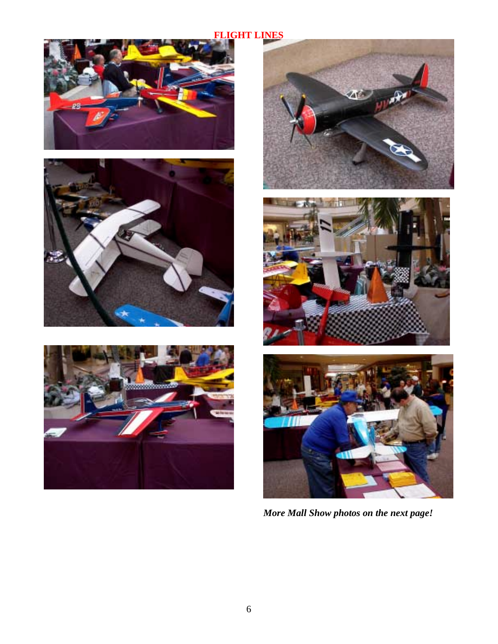











*More Mall Show photos on the next page!*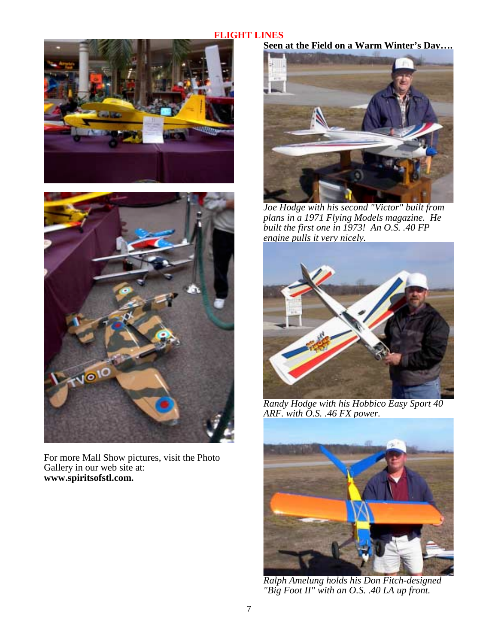



For more Mall Show pictures, visit the Photo Gallery in our web site at: **www.spiritsofstl.com.** 

**Seen at the Field on a Warm Winter's Day….** 



*Joe Hodge with his second "Victor" built from plans in a 1971 Flying Models magazine. He built the first one in 1973! An O.S. .40 FP engine pulls it very nicely.* 



*Randy Hodge with his Hobbico Easy Sport 40 ARF. with O.S. .46 FX power.* 



*Ralph Amelung holds his Don Fitch-designed "Big Foot II" with an O.S. .40 LA up front.*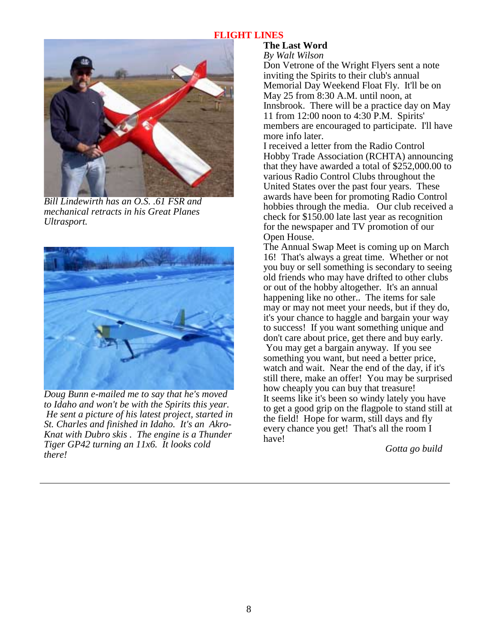

*Bill Lindewirth has an O.S. .61 FSR and mechanical retracts in his Great Planes Ultrasport.* 



*Doug Bunn e-mailed me to say that he's moved to Idaho and won't be with the Spirits this year. He sent a picture of his latest project, started in St. Charles and finished in Idaho. It's an Akro-Knat with Dubro skis . The engine is a Thunder Tiger GP42 turning an 11x6. It looks cold there!* 

# **The Last Word**

*By Walt Wilson*

Don Vetrone of the Wright Flyers sent a note inviting the Spirits to their club's annual Memorial Day Weekend Float Fly. It'll be on May 25 from 8:30 A.M. until noon, at Innsbrook. There will be a practice day on May 11 from 12:00 noon to 4:30 P.M. Spirits' members are encouraged to participate. I'll have more info later.

I received a letter from the Radio Control Hobby Trade Association (RCHTA) announcing that they have awarded a total of \$252,000.00 to various Radio Control Clubs throughout the United States over the past four years. These awards have been for promoting Radio Control hobbies through the media. Our club received a check for \$150.00 late last year as recognition for the newspaper and TV promotion of our Open House.

The Annual Swap Meet is coming up on March 16! That's always a great time. Whether or not you buy or sell something is secondary to seeing old friends who may have drifted to other clubs or out of the hobby altogether. It's an annual happening like no other.. The items for sale may or may not meet your needs, but if they do, it's your chance to haggle and bargain your way to success! If you want something unique and don't care about price, get there and buy early.

 You may get a bargain anyway. If you see something you want, but need a better price, watch and wait. Near the end of the day, if it's still there, make an offer! You may be surprised how cheaply you can buy that treasure! It seems like it's been so windy lately you have to get a good grip on the flagpole to stand still at the field! Hope for warm, still days and fly every chance you get! That's all the room I have!

*Gotta go build*